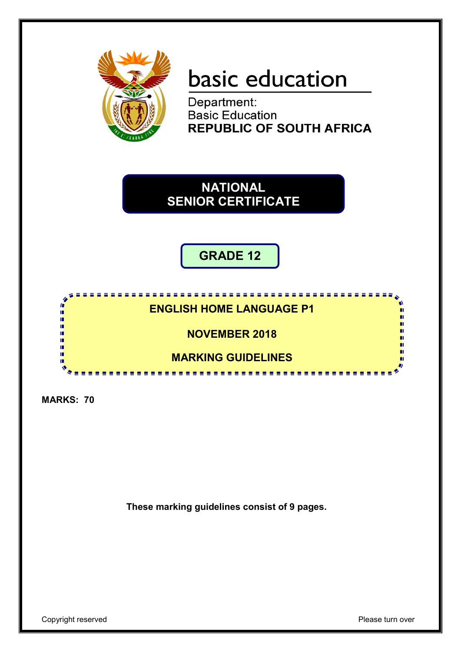

# basic education

Department: **Basic Education<br>REPUBLIC OF SOUTH AFRICA** 

**NATIONAL SENIOR CERTIFICATE**

**GRADE 12**

# **ENGLISH HOME LANGUAGE P1**

<u>.........................</u>

**NOVEMBER 2018**

**MARKING GUIDELINES**

-----------------

**MARKS: 70**

ń IĖ, ıŕ

ń

m

**These marking guidelines consist of 9 pages.**

п

п

п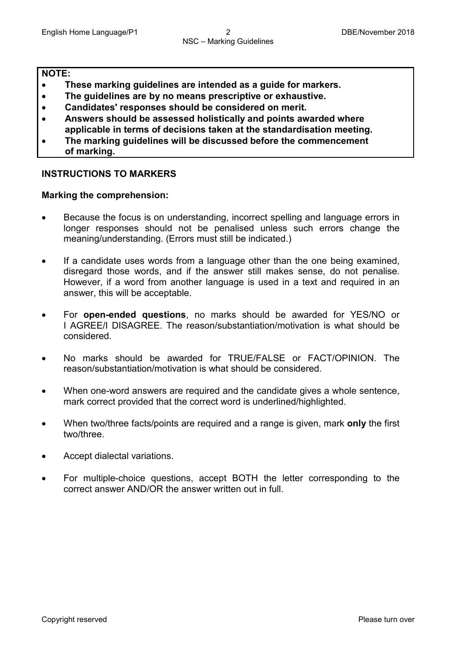# **NOTE:**

- **These marking guidelines are intended as a guide for markers.**
- **The guidelines are by no means prescriptive or exhaustive.**
- **Candidates' responses should be considered on merit.**
- **Answers should be assessed holistically and points awarded where applicable in terms of decisions taken at the standardisation meeting.**
- **The marking guidelines will be discussed before the commencement of marking.**

# **INSTRUCTIONS TO MARKERS**

# **Marking the comprehension:**

- Because the focus is on understanding, incorrect spelling and language errors in longer responses should not be penalised unless such errors change the meaning/understanding. (Errors must still be indicated.)
- If a candidate uses words from a language other than the one being examined, disregard those words, and if the answer still makes sense, do not penalise. However, if a word from another language is used in a text and required in an answer, this will be acceptable.
- For **open-ended questions**, no marks should be awarded for YES/NO or I AGREE/I DISAGREE. The reason/substantiation/motivation is what should be considered.
- No marks should be awarded for TRUE/FALSE or FACT/OPINION. The reason/substantiation/motivation is what should be considered.
- When one-word answers are required and the candidate gives a whole sentence, mark correct provided that the correct word is underlined/highlighted.
- When two/three facts/points are required and a range is given, mark **only** the first two/three.
- Accept dialectal variations.
- For multiple-choice questions, accept BOTH the letter corresponding to the correct answer AND/OR the answer written out in full.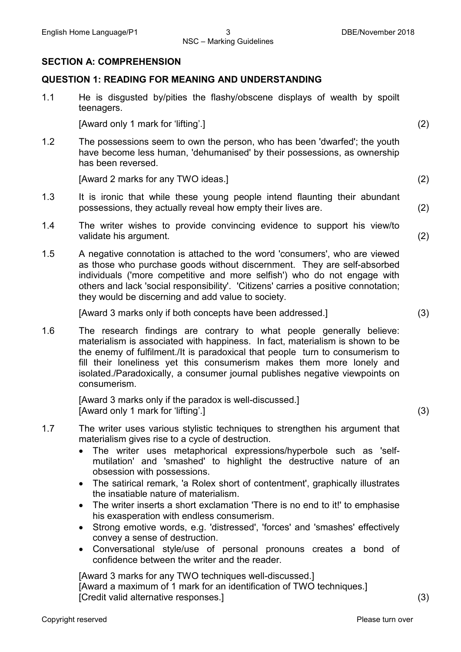#### NSC – Marking Guidelines

#### **SECTION A: COMPREHENSION**

#### **QUESTION 1: READING FOR MEANING AND UNDERSTANDING**

1.1 He is disgusted by/pities the flashy/obscene displays of wealth by spoilt teenagers.

[Award only 1 mark for 'lifting'.] (2)

1.2 The possessions seem to own the person, who has been 'dwarfed'; the youth have become less human, 'dehumanised' by their possessions, as ownership has been reversed.

[Award 2 marks for any TWO ideas.] (2)

- 1.3 It is ironic that while these young people intend flaunting their abundant possessions, they actually reveal how empty their lives are. (2)
- 1.4 The writer wishes to provide convincing evidence to support his view/to validate his argument. (2)
- 1.5 A negative connotation is attached to the word 'consumers', who are viewed as those who purchase goods without discernment. They are self-absorbed individuals ('more competitive and more selfish') who do not engage with others and lack 'social responsibility'. 'Citizens' carries a positive connotation; they would be discerning and add value to society.

[Award 3 marks only if both concepts have been addressed.] (3)

1.6 The research findings are contrary to what people generally believe: materialism is associated with happiness. In fact, materialism is shown to be the enemy of fulfilment./It is paradoxical that people turn to consumerism to fill their loneliness yet this consumerism makes them more lonely and isolated./Paradoxically, a consumer journal publishes negative viewpoints on consumerism.

> [Award 3 marks only if the paradox is well-discussed.] [Award only 1 mark for 'lifting'.] (3)

- 1.7 The writer uses various stylistic techniques to strengthen his argument that materialism gives rise to a cycle of destruction.
	- The writer uses metaphorical expressions/hyperbole such as 'selfmutilation' and 'smashed' to highlight the destructive nature of an obsession with possessions.
	- The satirical remark, 'a Rolex short of contentment', graphically illustrates the insatiable nature of materialism.
	- The writer inserts a short exclamation 'There is no end to it!' to emphasise his exasperation with endless consumerism.
	- Strong emotive words, e.g. 'distressed', 'forces' and 'smashes' effectively convey a sense of destruction.
	- Conversational style/use of personal pronouns creates a bond of confidence between the writer and the reader.

[Award 3 marks for any TWO techniques well-discussed.] [Award a maximum of 1 mark for an identification of TWO techniques.] [Credit valid alternative responses.] (3)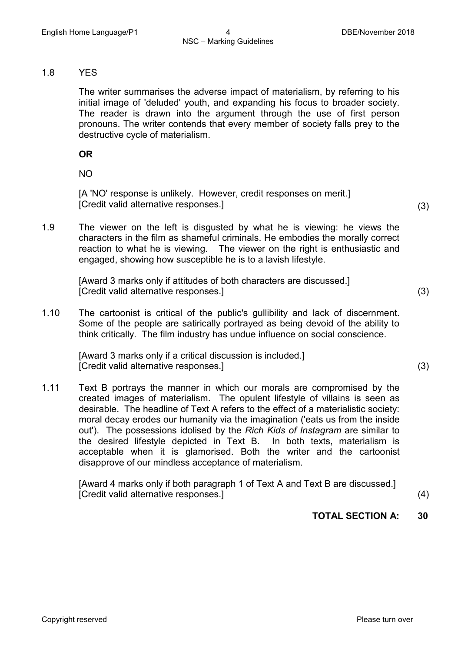#### 1.8 YES

The writer summarises the adverse impact of materialism, by referring to his initial image of 'deluded' youth, and expanding his focus to broader society. The reader is drawn into the argument through the use of first person pronouns. The writer contends that every member of society falls prey to the destructive cycle of materialism.

**OR**

NO

[A 'NO' response is unlikely. However, credit responses on merit.] [Credit valid alternative responses.] (3)

1.9 The viewer on the left is disgusted by what he is viewing: he views the characters in the film as shameful criminals. He embodies the morally correct reaction to what he is viewing. The viewer on the right is enthusiastic and engaged, showing how susceptible he is to a lavish lifestyle.

> [Award 3 marks only if attitudes of both characters are discussed.] [Credit valid alternative responses.] (3)

1.10 The cartoonist is critical of the public's gullibility and lack of discernment. Some of the people are satirically portrayed as being devoid of the ability to think critically. The film industry has undue influence on social conscience.

> [Award 3 marks only if a critical discussion is included.] [Credit valid alternative responses.] (3)

1.11 Text B portrays the manner in which our morals are compromised by the created images of materialism. The opulent lifestyle of villains is seen as desirable. The headline of Text A refers to the effect of a materialistic society: moral decay erodes our humanity via the imagination ('eats us from the inside out'). The possessions idolised by the *Rich Kids of Instagram* are similar to the desired lifestyle depicted in Text B. In both texts, materialism is acceptable when it is glamorised. Both the writer and the cartoonist disapprove of our mindless acceptance of materialism.

> [Award 4 marks only if both paragraph 1 of Text A and Text B are discussed.] [Credit valid alternative responses.] (4)

# **TOTAL SECTION A: 30**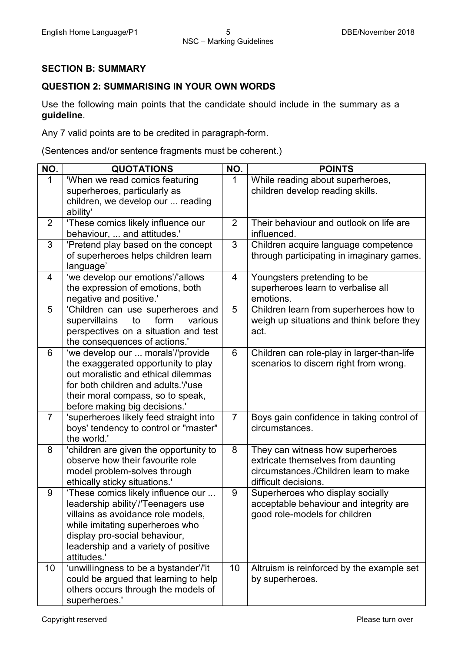# **SECTION B: SUMMARY**

# **QUESTION 2: SUMMARISING IN YOUR OWN WORDS**

Use the following main points that the candidate should include in the summary as a **guideline**.

Any 7 valid points are to be credited in paragraph-form.

(Sentences and/or sentence fragments must be coherent.)

| NO.            | <b>QUOTATIONS</b>                                                  | NO.            | <b>POINTS</b>                                                                        |
|----------------|--------------------------------------------------------------------|----------------|--------------------------------------------------------------------------------------|
| $\mathbf{1}$   | 'When we read comics featuring                                     | $\mathbf{1}$   | While reading about superheroes,                                                     |
|                | superheroes, particularly as                                       |                | children develop reading skills.                                                     |
|                | children, we develop our  reading                                  |                |                                                                                      |
|                | ability'                                                           |                |                                                                                      |
| $\overline{2}$ | 'These comics likely influence our                                 | $\overline{2}$ | Their behaviour and outlook on life are                                              |
|                | behaviour,  and attitudes.'                                        |                | influenced.                                                                          |
| 3              | 'Pretend play based on the concept                                 | 3              | Children acquire language competence                                                 |
|                | of superheroes helps children learn                                |                | through participating in imaginary games.                                            |
|                | language'                                                          |                |                                                                                      |
| 4              | 'we develop our emotions'/'allows                                  | $\overline{4}$ | Youngsters pretending to be                                                          |
|                | the expression of emotions, both                                   |                | superheroes learn to verbalise all                                                   |
|                | negative and positive.'                                            |                | emotions.                                                                            |
| 5              | 'Children can use superheroes and                                  | 5              | Children learn from superheroes how to                                               |
|                | to<br>form<br>supervillains<br>various                             |                | weigh up situations and think before they                                            |
|                | perspectives on a situation and test                               |                | act.                                                                                 |
| 6              | the consequences of actions.'<br>'we develop our  morals'/'provide | $6\phantom{1}$ |                                                                                      |
|                | the exaggerated opportunity to play                                |                | Children can role-play in larger-than-life<br>scenarios to discern right from wrong. |
|                | out moralistic and ethical dilemmas                                |                |                                                                                      |
|                | for both children and adults.'/'use                                |                |                                                                                      |
|                | their moral compass, so to speak,                                  |                |                                                                                      |
|                | before making big decisions.'                                      |                |                                                                                      |
| $\overline{7}$ | 'superheroes likely feed straight into                             | $\overline{7}$ | Boys gain confidence in taking control of                                            |
|                | boys' tendency to control or "master"                              |                | circumstances.                                                                       |
|                | the world.'                                                        |                |                                                                                      |
| 8              | 'children are given the opportunity to                             | 8              | They can witness how superheroes                                                     |
|                | observe how their favourite role                                   |                | extricate themselves from daunting                                                   |
|                | model problem-solves through                                       |                | circumstances./Children learn to make                                                |
|                | ethically sticky situations.'                                      |                | difficult decisions.                                                                 |
| 9              | 'These comics likely influence our                                 | 9              | Superheroes who display socially                                                     |
|                | leadership ability'/'Teenagers use                                 |                | acceptable behaviour and integrity are                                               |
|                | villains as avoidance role models,                                 |                | good role-models for children                                                        |
|                | while imitating superheroes who                                    |                |                                                                                      |
|                | display pro-social behaviour,                                      |                |                                                                                      |
|                | leadership and a variety of positive                               |                |                                                                                      |
|                | attitudes.'                                                        |                |                                                                                      |
| 10             | 'unwillingness to be a bystander'/'it                              | 10             | Altruism is reinforced by the example set                                            |
|                | could be argued that learning to help                              |                | by superheroes.                                                                      |
|                | others occurs through the models of                                |                |                                                                                      |
|                | superheroes.'                                                      |                |                                                                                      |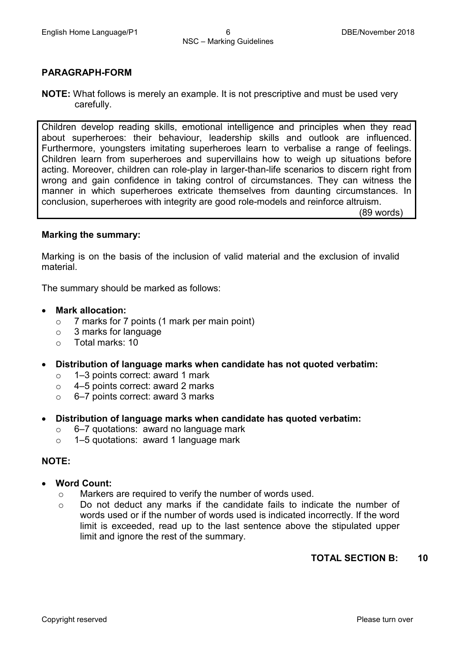#### **PARAGRAPH-FORM**

**NOTE:** What follows is merely an example. It is not prescriptive and must be used very carefully.

Children develop reading skills, emotional intelligence and principles when they read about superheroes: their behaviour, leadership skills and outlook are influenced. Furthermore, youngsters imitating superheroes learn to verbalise a range of feelings. Children learn from superheroes and supervillains how to weigh up situations before acting. Moreover, children can role-play in larger-than-life scenarios to discern right from wrong and gain confidence in taking control of circumstances. They can witness the manner in which superheroes extricate themselves from daunting circumstances. In conclusion, superheroes with integrity are good role-models and reinforce altruism. (89 words)

#### **Marking the summary:**

Marking is on the basis of the inclusion of valid material and the exclusion of invalid material.

The summary should be marked as follows:

- **Mark allocation:**
	- o 7 marks for 7 points (1 mark per main point)
	- $\circ$  3 marks for language<br> $\circ$  Total marks: 10
	- Total marks: 10
- **Distribution of language marks when candidate has not quoted verbatim:**
	- o 1–3 points correct: award 1 mark<br>○ 4–5 points correct: award 2 marks
	- 4–5 points correct: award 2 marks
	- o 6–7 points correct: award 3 marks
- **Distribution of language marks when candidate has quoted verbatim:**
	- $\circ$  6–7 quotations: award no language mark
	- o 1–5 quotations: award 1 language mark

#### **NOTE:**

- **Word Count:**
	- o Markers are required to verify the number of words used.
	- o Do not deduct any marks if the candidate fails to indicate the number of words used or if the number of words used is indicated incorrectly. If the word limit is exceeded, read up to the last sentence above the stipulated upper limit and ignore the rest of the summary.

#### **TOTAL SECTION B: 10**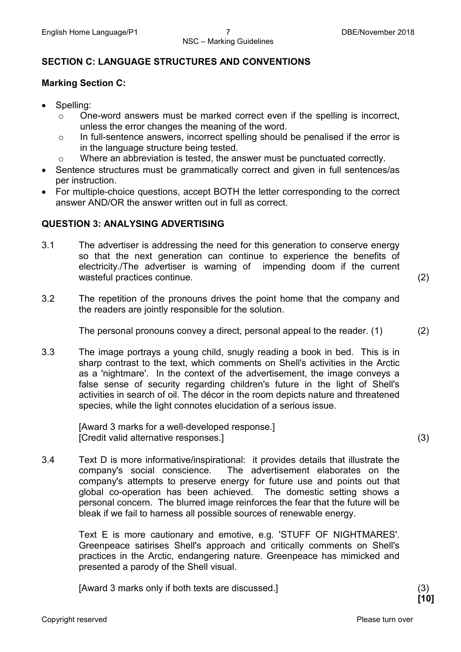# **SECTION C: LANGUAGE STRUCTURES AND CONVENTIONS**

# **Marking Section C:**

- Spelling:
	- o One-word answers must be marked correct even if the spelling is incorrect, unless the error changes the meaning of the word.
	- o In full-sentence answers, incorrect spelling should be penalised if the error is in the language structure being tested.
	- o Where an abbreviation is tested, the answer must be punctuated correctly.
- Sentence structures must be grammatically correct and given in full sentences/as per instruction.
- For multiple-choice questions, accept BOTH the letter corresponding to the correct answer AND/OR the answer written out in full as correct.

# **QUESTION 3: ANALYSING ADVERTISING**

3.1 The advertiser is addressing the need for this generation to conserve energy so that the next generation can continue to experience the benefits of electricity./The advertiser is warning of impending doom if the current wasteful practices continue. (2)

3.2 The repetition of the pronouns drives the point home that the company and the readers are jointly responsible for the solution.

The personal pronouns convey a direct, personal appeal to the reader. (1) (2)

3.3 The image portrays a young child, snugly reading a book in bed. This is in sharp contrast to the text, which comments on Shell's activities in the Arctic as a 'nightmare'. In the context of the advertisement, the image conveys a false sense of security regarding children's future in the light of Shell's activities in search of oil. The décor in the room depicts nature and threatened species, while the light connotes elucidation of a serious issue.

> [Award 3 marks for a well-developed response.] [Credit valid alternative responses.] (3)

3.4 Text D is more informative/inspirational: it provides details that illustrate the company's social conscience. The advertisement elaborates on the company's attempts to preserve energy for future use and points out that global co-operation has been achieved. The domestic setting shows a personal concern. The blurred image reinforces the fear that the future will be bleak if we fail to harness all possible sources of renewable energy.

> Text E is more cautionary and emotive, e.g. 'STUFF OF NIGHTMARES'. Greenpeace satirises Shell's approach and critically comments on Shell's practices in the Arctic, endangering nature. Greenpeace has mimicked and presented a parody of the Shell visual.

[Award 3 marks only if both texts are discussed.] (3)

**[10]**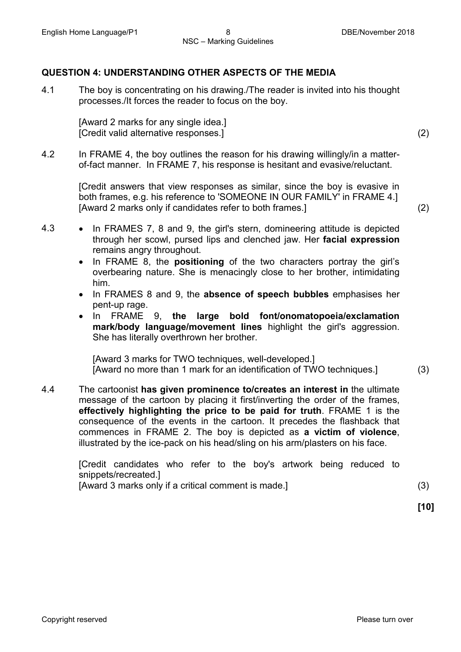# **QUESTION 4: UNDERSTANDING OTHER ASPECTS OF THE MEDIA**

4.1 The boy is concentrating on his drawing./The reader is invited into his thought processes./It forces the reader to focus on the boy.

> [Award 2 marks for any single idea.] [Credit valid alternative responses.] (2)

4.2 In FRAME 4, the boy outlines the reason for his drawing willingly/in a matterof-fact manner. In FRAME 7, his response is hesitant and evasive/reluctant.

> [Credit answers that view responses as similar, since the boy is evasive in both frames, e.g. his reference to 'SOMEONE IN OUR FAMILY' in FRAME 4.] [Award 2 marks only if candidates refer to both frames.] (2)

- 4.3 In FRAMES 7, 8 and 9, the girl's stern, domineering attitude is depicted through her scowl, pursed lips and clenched jaw. Her **facial expression** remains angry throughout.
	- In FRAME 8, the **positioning** of the two characters portray the girl's overbearing nature. She is menacingly close to her brother, intimidating him.
	- In FRAMES 8 and 9, the **absence of speech bubbles** emphasises her pent-up rage.
	- In FRAME 9, **the large bold font/onomatopoeia/exclamation mark/body language/movement lines** highlight the girl's aggression. She has literally overthrown her brother.

[Award 3 marks for TWO techniques, well-developed.] [Award no more than 1 mark for an identification of TWO techniques.] (3)

4.4 The cartoonist **has given prominence to/creates an interest in** the ultimate message of the cartoon by placing it first/inverting the order of the frames, **effectively highlighting the price to be paid for truth**. FRAME 1 is the consequence of the events in the cartoon. It precedes the flashback that commences in FRAME 2. The boy is depicted as **a victim of violence**, illustrated by the ice-pack on his head/sling on his arm/plasters on his face.

> [Credit candidates who refer to the boy's artwork being reduced to snippets/recreated.] [Award 3 marks only if a critical comment is made.] (3)

**[10]**

Copyright reserved **Please turn over the Copyright reserved** Please turn over